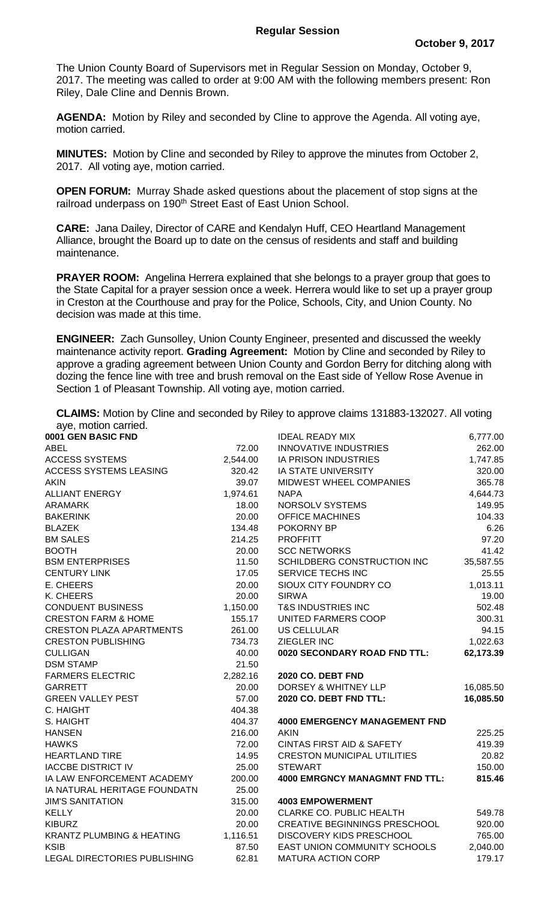The Union County Board of Supervisors met in Regular Session on Monday, October 9, 2017. The meeting was called to order at 9:00 AM with the following members present: Ron Riley, Dale Cline and Dennis Brown.

**AGENDA:** Motion by Riley and seconded by Cline to approve the Agenda. All voting aye, motion carried.

**MINUTES:** Motion by Cline and seconded by Riley to approve the minutes from October 2, 2017. All voting aye, motion carried.

**OPEN FORUM:** Murray Shade asked questions about the placement of stop signs at the railroad underpass on 190<sup>th</sup> Street East of East Union School.

**CARE:** Jana Dailey, Director of CARE and Kendalyn Huff, CEO Heartland Management Alliance, brought the Board up to date on the census of residents and staff and building maintenance.

**PRAYER ROOM:** Angelina Herrera explained that she belongs to a prayer group that goes to the State Capital for a prayer session once a week. Herrera would like to set up a prayer group in Creston at the Courthouse and pray for the Police, Schools, City, and Union County. No decision was made at this time.

**ENGINEER:** Zach Gunsolley, Union County Engineer, presented and discussed the weekly maintenance activity report. **Grading Agreement:** Motion by Cline and seconded by Riley to approve a grading agreement between Union County and Gordon Berry for ditching along with dozing the fence line with tree and brush removal on the East side of Yellow Rose Avenue in Section 1 of Pleasant Township. All voting aye, motion carried.

**CLAIMS:** Motion by Cline and seconded by Riley to approve claims 131883-132027. All voting aye, motion carried.

| ayo, molon camou.                    |          |                                       |           |
|--------------------------------------|----------|---------------------------------------|-----------|
| 0001 GEN BASIC FND                   |          | <b>IDEAL READY MIX</b>                | 6,777.00  |
| <b>ABEL</b>                          | 72.00    | <b>INNOVATIVE INDUSTRIES</b>          | 262.00    |
| <b>ACCESS SYSTEMS</b>                | 2,544.00 | <b>IA PRISON INDUSTRIES</b>           | 1,747.85  |
| <b>ACCESS SYSTEMS LEASING</b>        | 320.42   | IA STATE UNIVERSITY                   | 320.00    |
| <b>AKIN</b>                          | 39.07    | MIDWEST WHEEL COMPANIES               | 365.78    |
| <b>ALLIANT ENERGY</b>                | 1,974.61 | <b>NAPA</b>                           | 4,644.73  |
| <b>ARAMARK</b>                       | 18.00    | NORSOLV SYSTEMS                       | 149.95    |
| <b>BAKERINK</b>                      | 20.00    | <b>OFFICE MACHINES</b>                | 104.33    |
| <b>BLAZEK</b>                        | 134.48   | POKORNY BP                            | 6.26      |
| <b>BM SALES</b>                      | 214.25   | <b>PROFFITT</b>                       | 97.20     |
| <b>BOOTH</b>                         | 20.00    | <b>SCC NETWORKS</b>                   | 41.42     |
| <b>BSM ENTERPRISES</b>               | 11.50    | SCHILDBERG CONSTRUCTION INC           | 35,587.55 |
| <b>CENTURY LINK</b>                  | 17.05    | SERVICE TECHS INC                     | 25.55     |
| E. CHEERS                            | 20.00    | SIOUX CITY FOUNDRY CO                 | 1,013.11  |
| K. CHEERS                            | 20.00    | <b>SIRWA</b>                          | 19.00     |
| <b>CONDUENT BUSINESS</b>             | 1,150.00 | <b>T&amp;S INDUSTRIES INC</b>         | 502.48    |
| <b>CRESTON FARM &amp; HOME</b>       | 155.17   | UNITED FARMERS COOP                   | 300.31    |
| <b>CRESTON PLAZA APARTMENTS</b>      | 261.00   | <b>US CELLULAR</b>                    | 94.15     |
| <b>CRESTON PUBLISHING</b>            | 734.73   | ZIEGLER INC                           | 1,022.63  |
| <b>CULLIGAN</b>                      | 40.00    | 0020 SECONDARY ROAD FND TTL:          | 62,173.39 |
| <b>DSM STAMP</b>                     | 21.50    |                                       |           |
| <b>FARMERS ELECTRIC</b>              | 2,282.16 | 2020 CO. DEBT FND                     |           |
| <b>GARRETT</b>                       | 20.00    | DORSEY & WHITNEY LLP                  | 16,085.50 |
| <b>GREEN VALLEY PEST</b>             | 57.00    | 2020 CO. DEBT FND TTL:                | 16,085.50 |
| C. HAIGHT                            | 404.38   |                                       |           |
| S. HAIGHT                            | 404.37   | <b>4000 EMERGENCY MANAGEMENT FND</b>  |           |
| <b>HANSEN</b>                        | 216.00   | <b>AKIN</b>                           | 225.25    |
| <b>HAWKS</b>                         | 72.00    | <b>CINTAS FIRST AID &amp; SAFETY</b>  | 419.39    |
| <b>HEARTLAND TIRE</b>                | 14.95    | <b>CRESTON MUNICIPAL UTILITIES</b>    | 20.82     |
| <b>IACCBE DISTRICT IV</b>            | 25.00    | <b>STEWART</b>                        | 150.00    |
| IA LAW ENFORCEMENT ACADEMY           | 200.00   | <b>4000 EMRGNCY MANAGMNT FND TTL:</b> | 815.46    |
| IA NATURAL HERITAGE FOUNDATN         | 25.00    |                                       |           |
| <b>JIM'S SANITATION</b>              | 315.00   | <b>4003 EMPOWERMENT</b>               |           |
| <b>KELLY</b>                         | 20.00    | <b>CLARKE CO. PUBLIC HEALTH</b>       | 549.78    |
| <b>KIBURZ</b>                        | 20.00    | <b>CREATIVE BEGINNINGS PRESCHOOL</b>  | 920.00    |
| <b>KRANTZ PLUMBING &amp; HEATING</b> | 1,116.51 | DISCOVERY KIDS PRESCHOOL              | 765.00    |
| <b>KSIB</b>                          | 87.50    | <b>EAST UNION COMMUNITY SCHOOLS</b>   | 2,040.00  |
| LEGAL DIRECTORIES PUBLISHING         | 62.81    | <b>MATURA ACTION CORP</b>             | 179.17    |